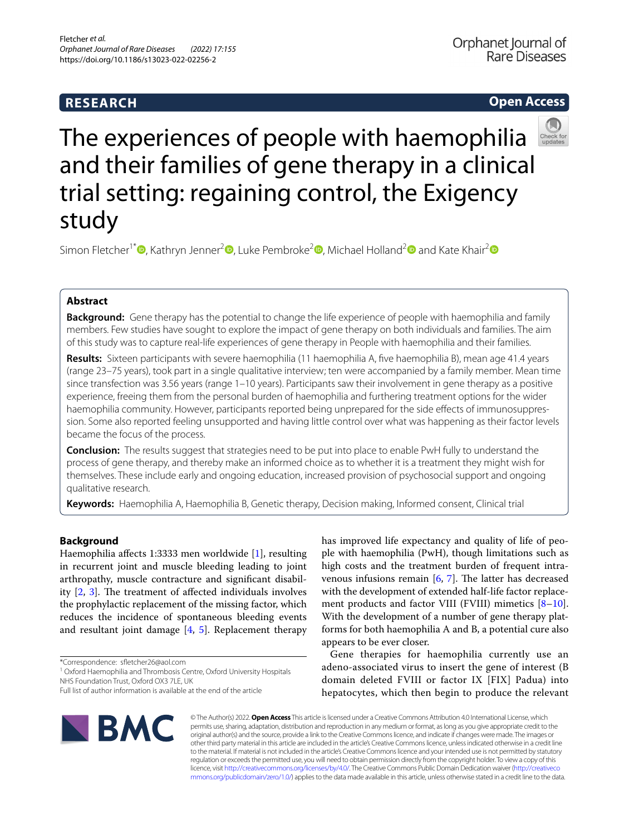# **RESEARCH**

# **Open Access**



The experiences of people with haemophilia and their families of gene therapy in a clinical trial setting: regaining control, the Exigency study

Simon Fletcher<sup>1\*</sup><sup>®</sup>[,](http://orcid.org/0000-0002-2024-6898) Kathryn Jenner<sup>2</sup><sup>®</sup>[,](http://orcid.org/0000-0002-2704-0606) Luke Pembroke<sup>[2](http://orcid.org/0000-0003-2001-5958)</sup><sup>®</sup>, Michael Holland<sup>2</sup><sup>®</sup> and Kate Khair<sup>2</sup><sup>®</sup>

# **Abstract**

**Background:** Gene therapy has the potential to change the life experience of people with haemophilia and family members. Few studies have sought to explore the impact of gene therapy on both individuals and families. The aim of this study was to capture real-life experiences of gene therapy in People with haemophilia and their families.

**Results:** Sixteen participants with severe haemophilia (11 haemophilia A, fve haemophilia B), mean age 41.4 years (range 23–75 years), took part in a single qualitative interview; ten were accompanied by a family member. Mean time since transfection was 3.56 years (range 1–10 years). Participants saw their involvement in gene therapy as a positive experience, freeing them from the personal burden of haemophilia and furthering treatment options for the wider haemophilia community. However, participants reported being unprepared for the side effects of immunosuppression. Some also reported feeling unsupported and having little control over what was happening as their factor levels became the focus of the process.

**Conclusion:** The results suggest that strategies need to be put into place to enable PwH fully to understand the process of gene therapy, and thereby make an informed choice as to whether it is a treatment they might wish for themselves. These include early and ongoing education, increased provision of psychosocial support and ongoing qualitative research.

**Keywords:** Haemophilia A, Haemophilia B, Genetic therapy, Decision making, Informed consent, Clinical trial

# **Background**

Haemophilia afects 1:3333 men worldwide [\[1](#page-6-0)], resulting in recurrent joint and muscle bleeding leading to joint arthropathy, muscle contracture and signifcant disability  $[2, 3]$  $[2, 3]$  $[2, 3]$  $[2, 3]$  $[2, 3]$ . The treatment of affected individuals involves the prophylactic replacement of the missing factor, which reduces the incidence of spontaneous bleeding events and resultant joint damage  $[4, 5]$  $[4, 5]$  $[4, 5]$  $[4, 5]$ . Replacement therapy

<sup>1</sup> Oxford Haemophilia and Thrombosis Centre, Oxford University Hospitals NHS Foundation Trust, Oxford OX3 7LE, UK

has improved life expectancy and quality of life of people with haemophilia (PwH), though limitations such as high costs and the treatment burden of frequent intravenous infusions remain  $[6, 7]$  $[6, 7]$  $[6, 7]$  $[6, 7]$  $[6, 7]$ . The latter has decreased with the development of extended half-life factor replace-ment products and factor VIII (FVIII) mimetics [\[8](#page-7-3)-10]. With the development of a number of gene therapy platforms for both haemophilia A and B, a potential cure also appears to be ever closer.

Gene therapies for haemophilia currently use an adeno-associated virus to insert the gene of interest (B domain deleted FVIII or factor IX [FIX] Padua) into hepatocytes, which then begin to produce the relevant



© The Author(s) 2022. **Open Access** This article is licensed under a Creative Commons Attribution 4.0 International License, which permits use, sharing, adaptation, distribution and reproduction in any medium or format, as long as you give appropriate credit to the original author(s) and the source, provide a link to the Creative Commons licence, and indicate if changes were made. The images or other third party material in this article are included in the article's Creative Commons licence, unless indicated otherwise in a credit line to the material. If material is not included in the article's Creative Commons licence and your intended use is not permitted by statutory regulation or exceeds the permitted use, you will need to obtain permission directly from the copyright holder. To view a copy of this licence, visit [http://creativecommons.org/licenses/by/4.0/.](http://creativecommons.org/licenses/by/4.0/) The Creative Commons Public Domain Dedication waiver ([http://creativeco](http://creativecommons.org/publicdomain/zero/1.0/) [mmons.org/publicdomain/zero/1.0/](http://creativecommons.org/publicdomain/zero/1.0/)) applies to the data made available in this article, unless otherwise stated in a credit line to the data.

<sup>\*</sup>Correspondence: sfetcher26@aol.com

Full list of author information is available at the end of the article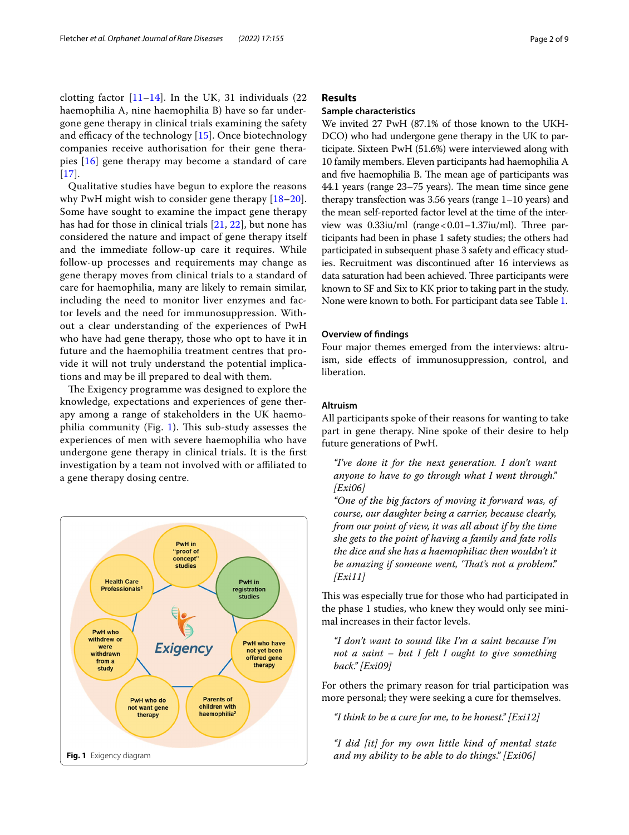clotting factor  $[11–14]$  $[11–14]$  $[11–14]$ . In the UK, 31 individuals  $(22)$ haemophilia A, nine haemophilia B) have so far undergone gene therapy in clinical trials examining the safety and efficacy of the technology  $[15]$  $[15]$ . Once biotechnology companies receive authorisation for their gene therapies [\[16](#page-7-8)] gene therapy may become a standard of care  $[17]$  $[17]$  $[17]$ .

Qualitative studies have begun to explore the reasons why PwH might wish to consider gene therapy [[18–](#page-7-10)[20\]](#page-7-11). Some have sought to examine the impact gene therapy has had for those in clinical trials [[21,](#page-7-12) [22\]](#page-7-13), but none has considered the nature and impact of gene therapy itself and the immediate follow-up care it requires. While follow-up processes and requirements may change as gene therapy moves from clinical trials to a standard of care for haemophilia, many are likely to remain similar, including the need to monitor liver enzymes and factor levels and the need for immunosuppression. Without a clear understanding of the experiences of PwH who have had gene therapy, those who opt to have it in future and the haemophilia treatment centres that provide it will not truly understand the potential implications and may be ill prepared to deal with them.

The Exigency programme was designed to explore the knowledge, expectations and experiences of gene therapy among a range of stakeholders in the UK haemo-philia community (Fig. [1\)](#page-1-0). This sub-study assesses the experiences of men with severe haemophilia who have undergone gene therapy in clinical trials. It is the frst investigation by a team not involved with or affiliated to a gene therapy dosing centre.

<span id="page-1-0"></span>

# **Results**

# **Sample characteristics**

We invited 27 PwH (87.1% of those known to the UKH-DCO) who had undergone gene therapy in the UK to participate. Sixteen PwH (51.6%) were interviewed along with 10 family members. Eleven participants had haemophilia A and five haemophilia B. The mean age of participants was 44.1 years (range 23–75 years). The mean time since gene therapy transfection was 3.56 years (range 1–10 years) and the mean self-reported factor level at the time of the interview was  $0.33$ iu/ml (range <  $0.01-1.37$ iu/ml). Three participants had been in phase 1 safety studies; the others had participated in subsequent phase 3 safety and efficacy studies. Recruitment was discontinued after 16 interviews as data saturation had been achieved. Three participants were known to SF and Six to KK prior to taking part in the study. None were known to both. For participant data see Table [1](#page-2-0).

#### **Overview of fndings**

Four major themes emerged from the interviews: altruism, side efects of immunosuppression, control, and liberation.

### **Altruism**

All participants spoke of their reasons for wanting to take part in gene therapy. Nine spoke of their desire to help future generations of PwH.

*"I've done it for the next generation. I don't want anyone to have to go through what I went through." [Exi06]*

*"One of the big factors of moving it forward was, of course, our daughter being a carrier, because clearly, from our point of view, it was all about if by the time she gets to the point of having a family and fate rolls the dice and she has a haemophiliac then wouldn't it be amazing if someone went, 'Tat's not a problem'." [Exi11]*

This was especially true for those who had participated in the phase 1 studies, who knew they would only see minimal increases in their factor levels.

*"I don't want to sound like I'm a saint because I'm not a saint – but I felt I ought to give something back." [Exi09]*

For others the primary reason for trial participation was more personal; they were seeking a cure for themselves.

*"I think to be a cure for me, to be honest." [Exi12]*

*"I did [it] for my own little kind of mental state*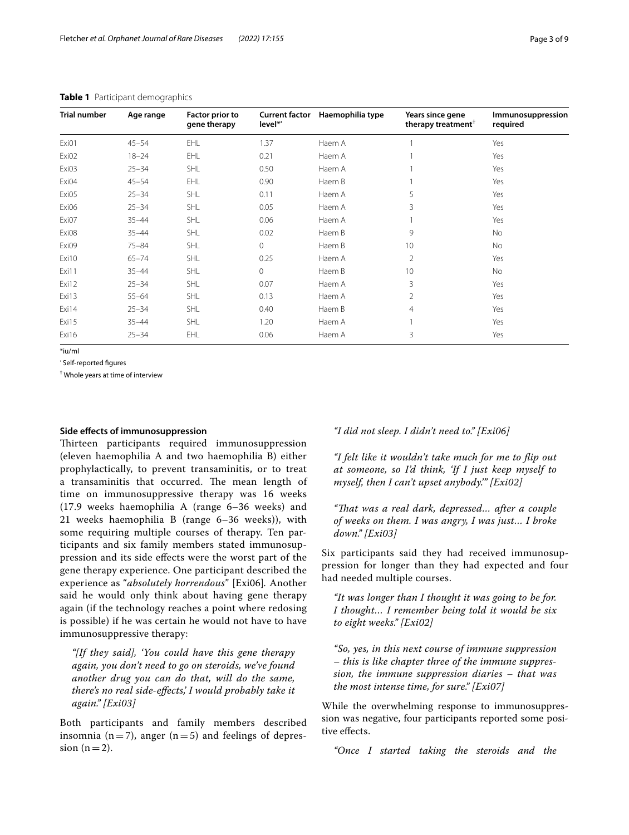| <b>Trial number</b> | Age range | <b>Factor prior to</b><br>gene therapy | <b>Current factor</b><br>level** | Haemophilia type | Years since gene<br>therapy treatment <sup>†</sup> | Immunosuppression<br>required |
|---------------------|-----------|----------------------------------------|----------------------------------|------------------|----------------------------------------------------|-------------------------------|
| Exi01               | $45 - 54$ | EHL                                    | 1.37                             | Haem A           |                                                    | Yes                           |
| Exi02               | $18 - 24$ | EHL                                    | 0.21                             | Haem A           |                                                    | Yes                           |
| Exi03               | $25 - 34$ | SHL                                    | 0.50                             | Haem A           |                                                    | Yes                           |
| Exi04               | $45 - 54$ | EHL                                    | 0.90                             | Haem B           |                                                    | Yes                           |
| Exi05               | $25 - 34$ | SHL                                    | 0.11                             | Haem A           | 5                                                  | Yes                           |
| Exi06               | $25 - 34$ | SHL                                    | 0.05                             | Haem A           | 3                                                  | Yes                           |
| Exi07               | $35 - 44$ | SHL                                    | 0.06                             | Haem A           |                                                    | Yes                           |
| Exi08               | $35 - 44$ | SHL                                    | 0.02                             | Haem B           | 9                                                  | No                            |
| Exi09               | $75 - 84$ | SHL                                    | $\circ$                          | Haem B           | 10                                                 | No                            |
| Exi10               | $65 - 74$ | SHL                                    | 0.25                             | Haem A           | $\overline{2}$                                     | Yes                           |
| Exi11               | $35 - 44$ | SHL                                    | $\circ$                          | Haem B           | 10                                                 | <b>No</b>                     |
| Exi12               | $25 - 34$ | SHL                                    | 0.07                             | Haem A           | 3                                                  | Yes                           |
| Exi13               | $55 - 64$ | SHL                                    | 0.13                             | Haem A           | 2                                                  | Yes                           |
| Exi14               | $25 - 34$ | SHL                                    | 0.40                             | Haem B           | $\overline{4}$                                     | Yes                           |
| Exi15               | $35 - 44$ | SHL                                    | 1.20                             | Haem A           |                                                    | Yes                           |
| Exi16               | $25 - 34$ | EHL                                    | 0.06                             | Haem A           | 3                                                  | Yes                           |

# <span id="page-2-0"></span>**Table 1** Participant demographics

\*iu/ml

• Self-reported fgures

† Whole years at time of interview

# **Side efects of immunosuppression**

Thirteen participants required immunosuppression (eleven haemophilia A and two haemophilia B) either prophylactically, to prevent transaminitis, or to treat a transaminitis that occurred. The mean length of time on immunosuppressive therapy was 16 weeks (17.9 weeks haemophilia A (range 6–36 weeks) and 21 weeks haemophilia B (range 6–36 weeks)), with some requiring multiple courses of therapy. Ten participants and six family members stated immunosuppression and its side efects were the worst part of the gene therapy experience. One participant described the experience as "*absolutely horrendous*" [Exi06]*.* Another said he would only think about having gene therapy again (if the technology reaches a point where redosing is possible) if he was certain he would not have to have immunosuppressive therapy:

*"[If they said], 'You could have this gene therapy again, you don't need to go on steroids, we've found another drug you can do that, will do the same, there's no real side-efects,' I would probably take it again." [Exi03]*

Both participants and family members described insomnia ( $n=7$ ), anger ( $n=5$ ) and feelings of depression  $(n=2)$ .

*"I did not sleep. I didn't need to." [Exi06]*

*"I felt like it wouldn't take much for me to fip out at someone, so I'd think, 'If I just keep myself to myself, then I can't upset anybody.'" [Exi02]*

*"Tat was a real dark, depressed… after a couple of weeks on them. I was angry, I was just… I broke down." [Exi03]*

Six participants said they had received immunosuppression for longer than they had expected and four had needed multiple courses.

*"It was longer than I thought it was going to be for. I thought… I remember being told it would be six to eight weeks." [Exi02]*

*"So, yes, in this next course of immune suppression – this is like chapter three of the immune suppression, the immune suppression diaries – that was the most intense time, for sure." [Exi07]*

While the overwhelming response to immunosuppression was negative, four participants reported some positive efects.

*"Once I started taking the steroids and the*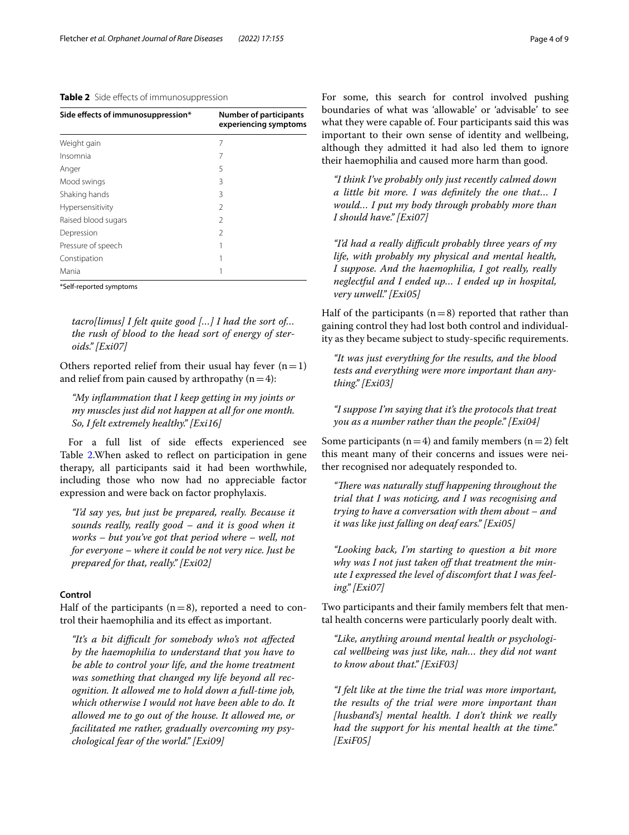<span id="page-3-0"></span>**Table 2** Side effects of immunosuppression

| Side effects of immunosuppression* | <b>Number of participants</b><br>experiencing symptoms |
|------------------------------------|--------------------------------------------------------|
| Weight gain                        | 7                                                      |
| Insomnia                           | 7                                                      |
| Anger                              | 5                                                      |
| Mood swings                        | 3                                                      |
| Shaking hands                      | 3                                                      |
| Hypersensitivity                   | $\mathcal{P}$                                          |
| Raised blood sugars                | $\mathcal{P}$                                          |
| Depression                         | 2                                                      |
| Pressure of speech                 |                                                        |
| Constipation                       |                                                        |
| Mania                              |                                                        |
|                                    |                                                        |

\*Self-reported symptoms

*tacro[limus] I felt quite good […] I had the sort of… the rush of blood to the head sort of energy of steroids." [Exi07]*

Others reported relief from their usual hay fever  $(n=1)$ and relief from pain caused by arthropathy  $(n=4)$ :

*"My infammation that I keep getting in my joints or my muscles just did not happen at all for one month. So, I felt extremely healthy." [Exi16]*

For a full list of side effects experienced see Table [2.](#page-3-0) When asked to reflect on participation in gene therapy, all participants said it had been worthwhile, including those who now had no appreciable factor expression and were back on factor prophylaxis.

*"I'd say yes, but just be prepared, really. Because it sounds really, really good – and it is good when it works – but you've got that period where – well, not for everyone – where it could be not very nice. Just be prepared for that, really." [Exi02]*

#### **Control**

Half of the participants  $(n=8)$ , reported a need to control their haemophilia and its efect as important.

*"It's a bit difcult for somebody who's not afected by the haemophilia to understand that you have to be able to control your life, and the home treatment was something that changed my life beyond all recognition. It allowed me to hold down a full-time job, which otherwise I would not have been able to do. It allowed me to go out of the house. It allowed me, or facilitated me rather, gradually overcoming my psychological fear of the world." [Exi09]*

For some, this search for control involved pushing boundaries of what was 'allowable' or 'advisable' to see what they were capable of. Four participants said this was important to their own sense of identity and wellbeing, although they admitted it had also led them to ignore their haemophilia and caused more harm than good.

*"I think I've probably only just recently calmed down a little bit more. I was defnitely the one that… I would… I put my body through probably more than I should have." [Exi07]*

*"I'd had a really difcult probably three years of my life, with probably my physical and mental health, I suppose. And the haemophilia, I got really, really neglectful and I ended up… I ended up in hospital, very unwell." [Exi05]*

Half of the participants  $(n=8)$  reported that rather than gaining control they had lost both control and individuality as they became subject to study-specifc requirements.

*"It was just everything for the results, and the blood tests and everything were more important than anything." [Exi03]*

*"I suppose I'm saying that it's the protocols that treat you as a number rather than the people." [Exi04]*

Some participants ( $n=4$ ) and family members ( $n=2$ ) felt this meant many of their concerns and issues were neither recognised nor adequately responded to.

*"There was naturally stuff happening throughout the trial that I was noticing, and I was recognising and trying to have a conversation with them about – and it was like just falling on deaf ears." [Exi05]*

*"Looking back, I'm starting to question a bit more*  why was I not just taken off that treatment the min*ute I expressed the level of discomfort that I was feeling." [Exi07]*

Two participants and their family members felt that mental health concerns were particularly poorly dealt with.

*"Like, anything around mental health or psychological wellbeing was just like, nah… they did not want to know about that." [ExiF03]*

*"I felt like at the time the trial was more important, the results of the trial were more important than [husband's] mental health. I don't think we really had the support for his mental health at the time." [ExiF05]*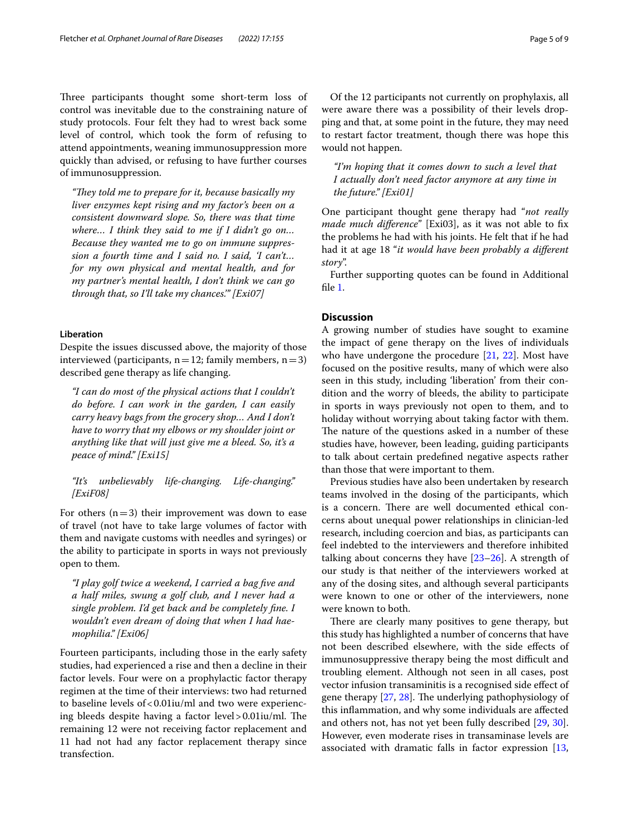Three participants thought some short-term loss of control was inevitable due to the constraining nature of study protocols. Four felt they had to wrest back some level of control, which took the form of refusing to attend appointments, weaning immunosuppression more quickly than advised, or refusing to have further courses of immunosuppression.

*"They told me to prepare for it, because basically my liver enzymes kept rising and my factor's been on a consistent downward slope. So, there was that time where… I think they said to me if I didn't go on… Because they wanted me to go on immune suppression a fourth time and I said no. I said, 'I can't… for my own physical and mental health, and for my partner's mental health, I don't think we can go through that, so I'll take my chances.'" [Exi07]*

# **Liberation**

Despite the issues discussed above, the majority of those interviewed (participants,  $n=12$ ; family members,  $n=3$ ) described gene therapy as life changing.

*"I can do most of the physical actions that I couldn't do before. I can work in the garden, I can easily carry heavy bags from the grocery shop… And I don't have to worry that my elbows or my shoulder joint or anything like that will just give me a bleed. So, it's a peace of mind." [Exi15]*

# *"It's unbelievably life-changing. Life-changing." [ExiF08]*

For others  $(n=3)$  their improvement was down to ease of travel (not have to take large volumes of factor with them and navigate customs with needles and syringes) or the ability to participate in sports in ways not previously open to them.

*"I play golf twice a weekend, I carried a bag fve and a half miles, swung a golf club, and I never had a single problem. I'd get back and be completely fne. I wouldn't even dream of doing that when I had haemophilia." [Exi06]*

Fourteen participants, including those in the early safety studies, had experienced a rise and then a decline in their factor levels. Four were on a prophylactic factor therapy regimen at the time of their interviews: two had returned to baseline levels of  $< 0.01$ iu/ml and two were experiencing bleeds despite having a factor  $level > 0.01$ iu/ml. The remaining 12 were not receiving factor replacement and 11 had not had any factor replacement therapy since transfection.

Of the 12 participants not currently on prophylaxis, all were aware there was a possibility of their levels dropping and that, at some point in the future, they may need to restart factor treatment, though there was hope this would not happen.

*"I'm hoping that it comes down to such a level that I actually don't need factor anymore at any time in the future." [Exi01]*

One participant thought gene therapy had "*not really made much diference*" [Exi03], as it was not able to fx the problems he had with his joints. He felt that if he had had it at age 18 "*it would have been probably a diferent story*".

Further supporting quotes can be found in Additional fle [1](#page-6-4).

# **Discussion**

A growing number of studies have sought to examine the impact of gene therapy on the lives of individuals who have undergone the procedure [[21](#page-7-12), [22](#page-7-13)]. Most have focused on the positive results, many of which were also seen in this study, including 'liberation' from their condition and the worry of bleeds, the ability to participate in sports in ways previously not open to them, and to holiday without worrying about taking factor with them. The nature of the questions asked in a number of these studies have, however, been leading, guiding participants to talk about certain predefned negative aspects rather than those that were important to them.

Previous studies have also been undertaken by research teams involved in the dosing of the participants, which is a concern. There are well documented ethical concerns about unequal power relationships in clinician-led research, including coercion and bias, as participants can feel indebted to the interviewers and therefore inhibited talking about concerns they have [[23–](#page-7-14)[26](#page-7-15)]. A strength of our study is that neither of the interviewers worked at any of the dosing sites, and although several participants were known to one or other of the interviewers, none were known to both.

There are clearly many positives to gene therapy, but this study has highlighted a number of concerns that have not been described elsewhere, with the side efects of immunosuppressive therapy being the most difficult and troubling element. Although not seen in all cases, post vector infusion transaminitis is a recognised side efect of gene therapy  $[27, 28]$  $[27, 28]$  $[27, 28]$ . The underlying pathophysiology of this infammation, and why some individuals are afected and others not, has not yet been fully described [\[29](#page-7-18), [30](#page-7-19)]. However, even moderate rises in transaminase levels are associated with dramatic falls in factor expression [[13](#page-7-20),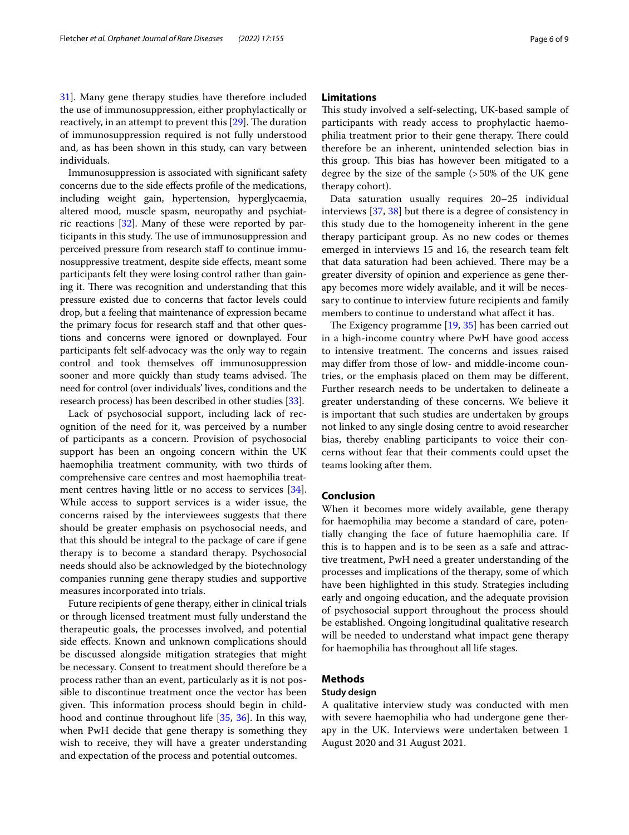[31\]](#page-7-21). Many gene therapy studies have therefore included the use of immunosuppression, either prophylactically or reactively, in an attempt to prevent this  $[29]$  $[29]$ . The duration of immunosuppression required is not fully understood and, as has been shown in this study, can vary between individuals.

Immunosuppression is associated with signifcant safety concerns due to the side efects profle of the medications, including weight gain, hypertension, hyperglycaemia, altered mood, muscle spasm, neuropathy and psychiatric reactions [\[32\]](#page-7-22). Many of these were reported by participants in this study. The use of immunosuppression and perceived pressure from research staf to continue immunosuppressive treatment, despite side efects, meant some participants felt they were losing control rather than gaining it. There was recognition and understanding that this pressure existed due to concerns that factor levels could drop, but a feeling that maintenance of expression became the primary focus for research staff and that other questions and concerns were ignored or downplayed. Four participants felt self-advocacy was the only way to regain control and took themselves off immunosuppression sooner and more quickly than study teams advised. The need for control (over individuals' lives, conditions and the research process) has been described in other studies [\[33\]](#page-7-23).

Lack of psychosocial support, including lack of recognition of the need for it, was perceived by a number of participants as a concern. Provision of psychosocial support has been an ongoing concern within the UK haemophilia treatment community, with two thirds of comprehensive care centres and most haemophilia treatment centres having little or no access to services [\[34](#page-7-24)]. While access to support services is a wider issue, the concerns raised by the interviewees suggests that there should be greater emphasis on psychosocial needs, and that this should be integral to the package of care if gene therapy is to become a standard therapy. Psychosocial needs should also be acknowledged by the biotechnology companies running gene therapy studies and supportive measures incorporated into trials.

Future recipients of gene therapy, either in clinical trials or through licensed treatment must fully understand the therapeutic goals, the processes involved, and potential side efects. Known and unknown complications should be discussed alongside mitigation strategies that might be necessary. Consent to treatment should therefore be a process rather than an event, particularly as it is not possible to discontinue treatment once the vector has been given. This information process should begin in childhood and continue throughout life [\[35](#page-7-25), [36\]](#page-7-26). In this way, when PwH decide that gene therapy is something they wish to receive, they will have a greater understanding and expectation of the process and potential outcomes.

# **Limitations**

This study involved a self-selecting, UK-based sample of participants with ready access to prophylactic haemophilia treatment prior to their gene therapy. There could therefore be an inherent, unintended selection bias in this group. This bias has however been mitigated to a degree by the size of the sample (>50% of the UK gene therapy cohort).

Data saturation usually requires 20–25 individual interviews [[37,](#page-7-27) [38\]](#page-8-0) but there is a degree of consistency in this study due to the homogeneity inherent in the gene therapy participant group. As no new codes or themes emerged in interviews 15 and 16, the research team felt that data saturation had been achieved. There may be a greater diversity of opinion and experience as gene therapy becomes more widely available, and it will be necessary to continue to interview future recipients and family members to continue to understand what afect it has.

The Exigency programme  $[19, 35]$  $[19, 35]$  $[19, 35]$  has been carried out in a high-income country where PwH have good access to intensive treatment. The concerns and issues raised may difer from those of low- and middle-income countries, or the emphasis placed on them may be diferent. Further research needs to be undertaken to delineate a greater understanding of these concerns. We believe it is important that such studies are undertaken by groups not linked to any single dosing centre to avoid researcher bias, thereby enabling participants to voice their concerns without fear that their comments could upset the teams looking after them.

# **Conclusion**

When it becomes more widely available, gene therapy for haemophilia may become a standard of care, potentially changing the face of future haemophilia care. If this is to happen and is to be seen as a safe and attractive treatment, PwH need a greater understanding of the processes and implications of the therapy, some of which have been highlighted in this study. Strategies including early and ongoing education, and the adequate provision of psychosocial support throughout the process should be established. Ongoing longitudinal qualitative research will be needed to understand what impact gene therapy for haemophilia has throughout all life stages.

#### **Methods**

#### **Study design**

A qualitative interview study was conducted with men with severe haemophilia who had undergone gene therapy in the UK. Interviews were undertaken between 1 August 2020 and 31 August 2021.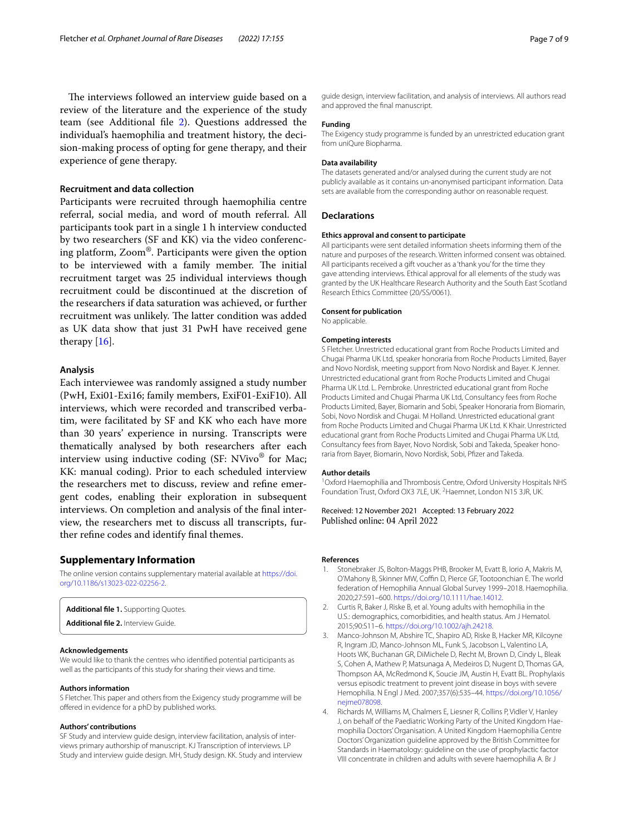The interviews followed an interview guide based on a review of the literature and the experience of the study team (see Additional fle [2](#page-6-5)). Questions addressed the individual's haemophilia and treatment history, the decision-making process of opting for gene therapy, and their experience of gene therapy.

# **Recruitment and data collection**

Participants were recruited through haemophilia centre referral, social media, and word of mouth referral. All participants took part in a single 1 h interview conducted by two researchers (SF and KK) via the video conferencing platform, Zoom®. Participants were given the option to be interviewed with a family member. The initial recruitment target was 25 individual interviews though recruitment could be discontinued at the discretion of the researchers if data saturation was achieved, or further recruitment was unlikely. The latter condition was added as UK data show that just 31 PwH have received gene therapy [\[16\]](#page-7-8).

### **Analysis**

Each interviewee was randomly assigned a study number (PwH, Exi01-Exi16; family members, ExiF01-ExiF10). All interviews, which were recorded and transcribed verbatim, were facilitated by SF and KK who each have more than 30 years' experience in nursing. Transcripts were thematically analysed by both researchers after each interview using inductive coding  $(SF: NVivo^{\circledR}$  for Mac; KK: manual coding). Prior to each scheduled interview the researchers met to discuss, review and refne emergent codes, enabling their exploration in subsequent interviews. On completion and analysis of the fnal interview, the researchers met to discuss all transcripts, further refne codes and identify fnal themes.

#### **Supplementary Information**

The online version contains supplementary material available at [https://doi.](https://doi.org/10.1186/s13023-022-02256-2) [org/10.1186/s13023-022-02256-2](https://doi.org/10.1186/s13023-022-02256-2).

<span id="page-6-5"></span><span id="page-6-4"></span>**Additional fle 1.** Supporting Quotes.

**Additional fle 2.** Interview Guide.

#### **Acknowledgements**

We would like to thank the centres who identifed potential participants as well as the participants of this study for sharing their views and time.

#### **Authors information**

S Fletcher. This paper and others from the Exigency study programme will be ofered in evidence for a phD by published works.

#### **Authors' contributions**

SF Study and interview guide design, interview facilitation, analysis of interviews primary authorship of manuscript. KJ Transcription of interviews. LP Study and interview guide design. MH, Study design. KK. Study and interview

guide design, interview facilitation, and analysis of interviews. All authors read and approved the fnal manuscript.

#### **Funding**

The Exigency study programme is funded by an unrestricted education grant from uniQure Biopharma.

#### **Data availability**

The datasets generated and/or analysed during the current study are not publicly available as it contains un-anonymised participant information. Data sets are available from the corresponding author on reasonable request.

#### **Declarations**

#### **Ethics approval and consent to participate**

All participants were sent detailed information sheets informing them of the nature and purposes of the research. Written informed consent was obtained. All participants received a gift voucher as a 'thank you' for the time they gave attending interviews. Ethical approval for all elements of the study was granted by the UK Healthcare Research Authority and the South East Scotland Research Ethics Committee (20/SS/0061).

#### **Consent for publication**

No applicable.

# **Competing interests**

S Fletcher. Unrestricted educational grant from Roche Products Limited and Chugai Pharma UK Ltd, speaker honoraria from Roche Products Limited, Bayer and Novo Nordisk, meeting support from Novo Nordisk and Bayer. K Jenner. Unrestricted educational grant from Roche Products Limited and Chugai Pharma UK Ltd. L. Pembroke. Unrestricted educational grant from Roche Products Limited and Chugai Pharma UK Ltd, Consultancy fees from Roche Products Limited, Bayer, Biomarin and Sobi, Speaker Honoraria from Biomarin, Sobi, Novo Nordisk and Chugai. M Holland. Unrestricted educational grant from Roche Products Limited and Chugai Pharma UK Ltd. K Khair. Unrestricted educational grant from Roche Products Limited and Chugai Pharma UK Ltd, Consultancy fees from Bayer, Novo Nordisk, Sobi and Takeda, Speaker honoraria from Bayer, Biomarin, Novo Nordisk, Sobi, Pfzer and Takeda.

#### **Author details**

<sup>1</sup> Oxford Haemophilia and Thrombosis Centre, Oxford University Hospitals NHS Foundation Trust, Oxford OX3 7LE, UK. <sup>2</sup> Haemnet, London N15 3JR, UK.

Received: 12 November 2021 Accepted: 13 February 2022 Published online: 04 April 2022

#### **References**

- <span id="page-6-0"></span>Stonebraker JS, Bolton-Maggs PHB, Brooker M, Evatt B, Iorio A, Makris M, O'Mahony B, Skinner MW, Coffin D, Pierce GF, Tootoonchian E. The world federation of Hemophilia Annual Global Survey 1999–2018. Haemophilia. 2020;27:591–600. <https://doi.org/10.1111/hae.14012>.
- <span id="page-6-1"></span>2. Curtis R, Baker J, Riske B, et al. Young adults with hemophilia in the U.S.: demographics, comorbidities, and health status. Am J Hematol. 2015;90:S11–6. [https://doi.org/10.1002/ajh.24218.](https://doi.org/10.1002/ajh.24218)
- <span id="page-6-2"></span>3. Manco-Johnson M, Abshire TC, Shapiro AD, Riske B, Hacker MR, Kilcoyne R, Ingram JD, Manco-Johnson ML, Funk S, Jacobson L, Valentino LA, Hoots WK, Buchanan GR, DiMichele D, Recht M, Brown D, Cindy L, Bleak S, Cohen A, Mathew P, Matsunaga A, Medeiros D, Nugent D, Thomas GA, Thompson AA, McRedmond K, Soucie JM, Austin H, Evatt BL. Prophylaxis versus episodic treatment to prevent joint disease in boys with severe Hemophilia. N Engl J Med. 2007;357(6):535–44. [https://doi.org/10.1056/](https://doi.org/10.1056/nejme078098) [nejme078098.](https://doi.org/10.1056/nejme078098)
- <span id="page-6-3"></span>4. Richards M, Williams M, Chalmers E, Liesner R, Collins P, Vidler V, Hanley J, on behalf of the Paediatric Working Party of the United Kingdom Haemophilia Doctors' Organisation. A United Kingdom Haemophilia Centre Doctors' Organization guideline approved by the British Committee for Standards in Haematology: guideline on the use of prophylactic factor VIII concentrate in children and adults with severe haemophilia A. Br J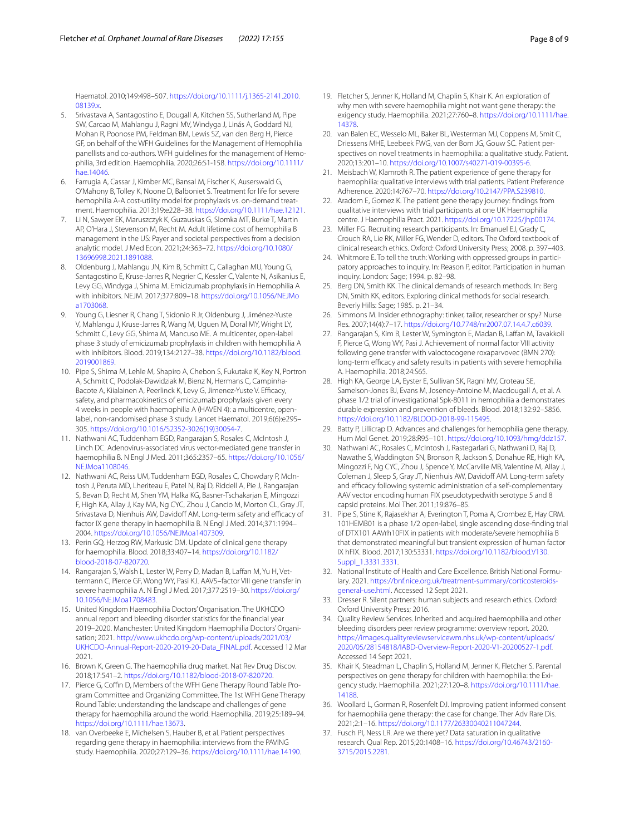Haematol. 2010;149:498–507. [https://doi.org/10.1111/j.1365-2141.2010.](https://doi.org/10.1111/j.1365-2141.2010.08139.x) [08139.x.](https://doi.org/10.1111/j.1365-2141.2010.08139.x)

- <span id="page-7-0"></span>5. Srivastava A, Santagostino E, Dougall A, Kitchen SS, Sutherland M, Pipe SW, Carcao M, Mahlangu J, Ragni MV, Windyga J, Linás A, Goddard NJ, Mohan R, Poonose PM, Feldman BM, Lewis SZ, van den Berg H, Pierce GF, on behalf of the WFH Guidelines for the Management of Hemophilia panellists and co-authors. WFH guidelines for the management of Hemophilia, 3rd edition. Haemophilia. 2020;26:S1-158. [https://doi.org/10.1111/](https://doi.org/10.1111/hae.14046) [hae.14046](https://doi.org/10.1111/hae.14046).
- <span id="page-7-1"></span>6. Farrugia A, Cassar J, Kimber MC, Bansal M, Fischer K, Auserswald G, O'Mahony B, Tolley K, Noone D, Balboniet S. Treatment for life for severe hemophilia A-A cost-utility model for prophylaxis vs. on-demand treatment. Haemophilia. 2013;19:e228–38. [https://doi.org/10.1111/hae.12121.](https://doi.org/10.1111/hae.12121)
- <span id="page-7-2"></span>7. Li N, Sawyer EK, Maruszczyk K, Guzauskas G, Slomka MT, Burke T, Martin AP, O'Hara J, Stevenson M, Recht M. Adult lifetime cost of hemophilia B management in the US: Payer and societal perspectives from a decision analytic model. J Med Econ. 2021;24:363–72. [https://doi.org/10.1080/](https://doi.org/10.1080/13696998.2021.1891088) [13696998.2021.1891088.](https://doi.org/10.1080/13696998.2021.1891088)
- <span id="page-7-3"></span>8. Oldenburg J, Mahlangu JN, Kim B, Schmitt C, Callaghan MU, Young G, Santagostino E, Kruse-Jarres R, Negrier C, Kessler C, Valente N, Asikanius E, Levy GG, Windyga J, Shima M. Emicizumab prophylaxis in Hemophilia A with inhibitors. NEJM. 2017;377:809–18. [https://doi.org/10.1056/NEJMo](https://doi.org/10.1056/NEJMoa1703068) [a1703068.](https://doi.org/10.1056/NEJMoa1703068)
- 9. Young G, Liesner R, Chang T, Sidonio R Jr, Oldenburg J, Jiménez-Yuste V, Mahlangu J, Kruse-Jarres R, Wang M, Uguen M, Doral MY, Wright LY, Schmitt C, Levy GG, Shima M, Mancuso ME. A multicenter, open-label phase 3 study of emicizumab prophylaxis in children with hemophilia A with inhibitors. Blood. 2019;134:2127–38. [https://doi.org/10.1182/blood.](https://doi.org/10.1182/blood.2019001869) [2019001869](https://doi.org/10.1182/blood.2019001869).
- <span id="page-7-4"></span>10. Pipe S, Shima M, Lehle M, Shapiro A, Chebon S, Fukutake K, Key N, Portron A, Schmitt C, Podolak-Dawidziak M, Bienz N, Hermans C, Campinha-Bacote A, Kiialainen A, Peerlinck K, Levy G, Jimenez-Yuste V. Efficacy, safety, and pharmacokinetics of emicizumab prophylaxis given every 4 weeks in people with haemophilia A (HAVEN 4): a multicentre, openlabel, non-randomised phase 3 study. Lancet Haematol. 2019;6(6):e295– 305. [https://doi.org/10.1016/S2352-3026\(19\)30054-7.](https://doi.org/10.1016/S2352-3026(19)30054-7)
- <span id="page-7-5"></span>11. Nathwani AC, Tuddenham EGD, Rangarajan S, Rosales C, McIntosh J, Linch DC. Adenovirus-associated virus vector-mediated gene transfer in haemophilia B. N Engl J Med. 2011;365:2357–65. [https://doi.org/10.1056/](https://doi.org/10.1056/NEJMoa1108046) [NEJMoa1108046.](https://doi.org/10.1056/NEJMoa1108046)
- 12. Nathwani AC, Reiss UM, Tuddenham EGD, Rosales C, Chowdary P, McIntosh J, Peruta MD, Lheriteau E, Patel N, Raj D, Riddell A, Pie J, Rangarajan S, Bevan D, Recht M, Shen YM, Halka KG, Basner-Tschakarjan E, Mingozzi F, High KA, Allay J, Kay MA, Ng CYC, Zhou J, Cancio M, Morton CL, Gray JT, Srivastava D, Nienhuis AW, Davidoff AM. Long-term safety and efficacy of factor IX gene therapy in haemophilia B. N Engl J Med. 2014;371:1994– 2004.<https://doi.org/10.1056/NEJMoa1407309>.
- <span id="page-7-20"></span>13. Perin GQ, Herzog RW, Markusic DM. Update of clinical gene therapy for haemophilia. Blood. 2018;33:407–14. [https://doi.org/10.1182/](https://doi.org/10.1182/blood-2018-07-820720) [blood-2018-07-820720](https://doi.org/10.1182/blood-2018-07-820720).
- <span id="page-7-6"></span>14. Rangarajan S, Walsh L, Lester W, Perry D, Madan B, Laffan M, Yu H, Vettermann C, Pierce GF, Wong WY, Pasi KJ. AAV5–factor VIII gene transfer in severe haemophilia A. N Engl J Med. 2017;377:2519–30. [https://doi.org/](https://doi.org/10.1056/NEJMoa1708483) [10.1056/NEJMoa1708483](https://doi.org/10.1056/NEJMoa1708483).
- <span id="page-7-7"></span>15. United Kingdom Haemophilia Doctors' Organisation. The UKHCDO annual report and bleeding disorder statistics for the fnancial year 2019–2020. Manchester: United Kingdom Haemophilia Doctors' Organisation; 2021. [http://www.ukhcdo.org/wp-content/uploads/2021/03/](http://www.ukhcdo.org/wp-content/uploads/2021/03/UKHCDO-Annual-Report-2020-2019-20-Data_FINAL.pdf) [UKHCDO-Annual-Report-2020-2019-20-Data\\_FINAL.pdf](http://www.ukhcdo.org/wp-content/uploads/2021/03/UKHCDO-Annual-Report-2020-2019-20-Data_FINAL.pdf). Accessed 12 Mar 2021.
- <span id="page-7-8"></span>16. Brown K, Green G. The haemophilia drug market. Nat Rev Drug Discov. 2018;17:541–2. [https://doi.org/10.1182/blood-2018-07-820720.](https://doi.org/10.1182/blood-2018-07-820720)
- <span id="page-7-9"></span>17. Pierce G, Coffin D, Members of the WFH Gene Therapy Round Table Program Committee and Organizing Committee. The 1st WFH Gene Therapy Round Table: understanding the landscape and challenges of gene therapy for haemophilia around the world. Haemophilia. 2019;25:189–94. <https://doi.org/10.1111/hae.13673>.
- <span id="page-7-10"></span>18. van Overbeeke E, Michelsen S, Hauber B, et al. Patient perspectives regarding gene therapy in haemophilia: interviews from the PAVING study. Haemophilia. 2020;27:129–36. <https://doi.org/10.1111/hae.14190>.
- <span id="page-7-28"></span>19. Fletcher S, Jenner K, Holland M, Chaplin S, Khair K. An exploration of why men with severe haemophilia might not want gene therapy: the exigency study. Haemophilia. 2021;27:760–8. [https://doi.org/10.1111/hae.](https://doi.org/10.1111/hae.14378) [14378](https://doi.org/10.1111/hae.14378).
- <span id="page-7-11"></span>20. van Balen EC, Wesselo ML, Baker BL, Westerman MJ, Coppens M, Smit C, Driessens MHE, Leebeek FWG, van der Bom JG, Gouw SC. Patient perspectives on novel treatments in haemophilia: a qualitative study. Patient. 2020;13:201–10. [https://doi.org/10.1007/s40271-019-00395-6.](https://doi.org/10.1007/s40271-019-00395-6)
- <span id="page-7-12"></span>21. Meisbach W, Klamroth R. The patient experience of gene therapy for haemophilia: qualitative interviews with trial patients. Patient Preference Adherence. 2020;14:767–70. [https://doi.org/10.2147/PPA.S239810.](https://doi.org/10.2147/PPA.S239810)
- <span id="page-7-13"></span>22. Aradom E, Gomez K. The patient gene therapy journey: fndings from qualitative interviews with trial participants at one UK Haemophilia centre. J Haemophilia Pract. 2021. [https://doi.org/10.17225/jhp00174.](https://doi.org/10.17225/jhp00174)
- <span id="page-7-14"></span>23. Miller FG. Recruiting research participants. In: Emanuel EJ, Grady C, Crouch RA, Lie RK, Miller FG, Wender D, editors. The Oxford textbook of clinical research ethics. Oxford: Oxford University Press; 2008. p. 397–403.
- 24. Whitmore E. To tell the truth: Working with oppressed groups in participatory approaches to inquiry. In: Reason P, editor. Participation in human inquiry. London: Sage; 1994. p. 82–98.
- 25. Berg DN, Smith KK. The clinical demands of research methods. In: Berg DN, Smith KK, editors. Exploring clinical methods for social research. Beverly Hills: Sage; 1985. p. 21–34.
- <span id="page-7-15"></span>26. Simmons M. Insider ethnography: tinker, tailor, researcher or spy? Nurse Res. 2007;14(4):7–17. [https://doi.org/10.7748/nr2007.07.14.4.7.c6039.](https://doi.org/10.7748/nr2007.07.14.4.7.c6039)
- <span id="page-7-16"></span>27. Rangarajan S, Kim B, Lester W, Symington E, Madan B, Laffan M, Tavakkoli F, Pierce G, Wong WY, Pasi J. Achievement of normal factor VIII activity following gene transfer with valoctocogene roxaparvovec (BMN 270): long-term efficacy and safety results in patients with severe hemophilia A. Haemophilia. 2018;24:S65.
- <span id="page-7-17"></span>28. High KA, George LA, Eyster E, Sullivan SK, Ragni MV, Croteau SE, Samelson-Jones BJ, Evans M, Joseney-Antoine M, Macdougall A, et al. A phase 1/2 trial of investigational Spk-8011 in hemophilia a demonstrates durable expression and prevention of bleeds. Blood. 2018;132:92–5856. <https://doi.org/10.1182/BLOOD-2018-99-115495>.
- <span id="page-7-18"></span>29. Batty P, Lillicrap D. Advances and challenges for hemophilia gene therapy. Hum Mol Genet. 2019;28:R95–101. [https://doi.org/10.1093/hmg/ddz157.](https://doi.org/10.1093/hmg/ddz157)
- <span id="page-7-19"></span>30. Nathwani AC, Rosales C, McIntosh J, Rastegarlari G, Nathwani D, Raj D, Nawathe S, Waddington SN, Bronson R, Jackson S, Donahue RE, High KA, Mingozzi F, Ng CYC, Zhou J, Spence Y, McCarville MB, Valentine M, Allay J, Coleman J, Sleep S, Gray JT, Nienhuis AW, Davidof AM. Long-term safety and efficacy following systemic administration of a self-complementary AAV vector encoding human FIX pseudotypedwith serotype 5 and 8 capsid proteins. Mol Ther. 2011;19:876–85.
- <span id="page-7-21"></span>31. Pipe S, Stine K, Rajasekhar A, Everington T, Poma A, Crombez E, Hay CRM. 101HEMB01 is a phase 1/2 open-label, single ascending dose-fnding trial of DTX101 AAVrh10FIX in patients with moderate/severe hemophilia B that demonstrated meaningful but transient expression of human factor IX hFIX. Blood. 2017;130:S3331. [https://doi.org/10.1182/blood.V130.](https://doi.org/10.1182/blood.V130.Suppl_1.3331.3331) [Suppl\\_1.3331.3331](https://doi.org/10.1182/blood.V130.Suppl_1.3331.3331).
- <span id="page-7-22"></span>32. National Institute of Health and Care Excellence. British National Formulary. 2021. [https://bnf.nice.org.uk/treatment-summary/corticosteroids](https://bnf.nice.org.uk/treatment-summary/corticosteroids-general-use.html)[general-use.html](https://bnf.nice.org.uk/treatment-summary/corticosteroids-general-use.html). Accessed 12 Sept 2021.
- <span id="page-7-23"></span>33. Dresser R. Silent partners: human subjects and research ethics. Oxford: Oxford University Press; 2016.
- <span id="page-7-24"></span>34. Quality Review Services. Inherited and acquired haemophilia and other bleeding disorders peer review programme: overview report*.* 2020. [https://images.qualityreviewservicewm.nhs.uk/wp-content/uploads/](https://images.qualityreviewservicewm.nhs.uk/wp-content/uploads/2020/05/28154818/IABD-Overview-Report-2020-V1-20200527-1.pdf) [2020/05/28154818/IABD-Overview-Report-2020-V1-20200527-1.pdf](https://images.qualityreviewservicewm.nhs.uk/wp-content/uploads/2020/05/28154818/IABD-Overview-Report-2020-V1-20200527-1.pdf). Accessed 14 Sept 2021.
- <span id="page-7-25"></span>35. Khair K, Steadman L, Chaplin S, Holland M, Jenner K, Fletcher S. Parental perspectives on gene therapy for children with haemophilia: the Exigency study. Haemophilia. 2021;27:120–8. [https://doi.org/10.1111/hae.](https://doi.org/10.1111/hae.14188) [14188](https://doi.org/10.1111/hae.14188).
- <span id="page-7-26"></span>36. Woollard L, Gorman R, Rosenfelt DJ. Improving patient informed consent for haemophilia gene therapy: the case for change. Ther Adv Rare Dis. 2021;2:1–16.<https://doi.org/10.1177/26330040211047244>.
- <span id="page-7-27"></span>37. Fusch PI, Ness LR. Are we there yet? Data saturation in qualitative research. Qual Rep. 2015;20:1408–16. [https://doi.org/10.46743/2160-](https://doi.org/10.46743/2160-3715/2015.2281) [3715/2015.2281.](https://doi.org/10.46743/2160-3715/2015.2281)